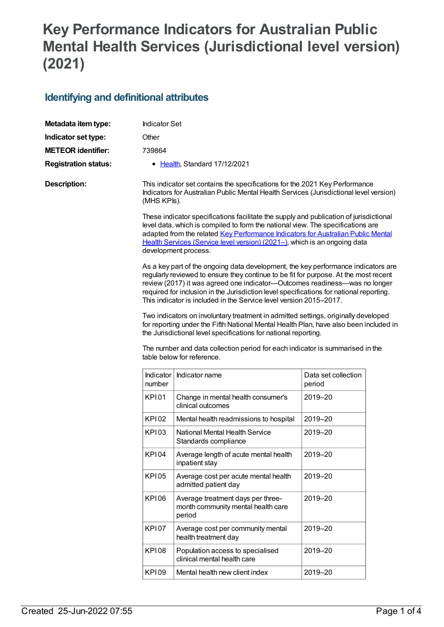## **Key Performance Indicators for Australian Public Mental Health Services (Jurisdictional level version) (2021)**

## **Identifying and definitional attributes**

| Metadata item type:         | <b>Indicator Set</b>                                                                                                                                                                                                                                                                                                                                                                                                                                                                                                                                                                                                                                                       |                                                                                                                               |                     |  |  |
|-----------------------------|----------------------------------------------------------------------------------------------------------------------------------------------------------------------------------------------------------------------------------------------------------------------------------------------------------------------------------------------------------------------------------------------------------------------------------------------------------------------------------------------------------------------------------------------------------------------------------------------------------------------------------------------------------------------------|-------------------------------------------------------------------------------------------------------------------------------|---------------------|--|--|
| Indicator set type:         | Other                                                                                                                                                                                                                                                                                                                                                                                                                                                                                                                                                                                                                                                                      |                                                                                                                               |                     |  |  |
| <b>METEOR identifier:</b>   | 739864                                                                                                                                                                                                                                                                                                                                                                                                                                                                                                                                                                                                                                                                     |                                                                                                                               |                     |  |  |
| <b>Registration status:</b> |                                                                                                                                                                                                                                                                                                                                                                                                                                                                                                                                                                                                                                                                            | • Health, Standard 17/12/2021                                                                                                 |                     |  |  |
| <b>Description:</b>         | This indicator set contains the specifications for the 2021 Key Performance<br>Indicators for Australian Public Mental Health Services (Jurisdictional level version)<br>(MHS KPIs).                                                                                                                                                                                                                                                                                                                                                                                                                                                                                       |                                                                                                                               |                     |  |  |
|                             | These indicator specifications facilitate the supply and publication of jurisdictional<br>level data, which is compiled to form the national view. The specifications are<br>adapted from the related Key Performance Indicators for Australian Public Mental<br>Health Services (Service level version) (2021-), which is an ongoing data<br>development process.                                                                                                                                                                                                                                                                                                         |                                                                                                                               |                     |  |  |
|                             | As a key part of the ongoing data development, the key performance indicators are<br>regularly reviewed to ensure they continue to be fit for purpose. At the most recent<br>review (2017) it was agreed one indicator-Outcomes readiness-was no longer<br>required for inclusion in the Jurisdiction level specifications for national reporting.<br>This indicator is included in the Service level version 2015–2017.<br>Two indicators on involuntary treatment in admitted settings, originally developed<br>for reporting under the Fifth National Mental Health Plan, have also been included in<br>the Jurisdictional level specifications for national reporting. |                                                                                                                               |                     |  |  |
|                             | Indicator                                                                                                                                                                                                                                                                                                                                                                                                                                                                                                                                                                                                                                                                  | The number and data collection period for each indicator is summarised in the<br>table below for reference.<br>Indicator name | Data set collection |  |  |
|                             | number                                                                                                                                                                                                                                                                                                                                                                                                                                                                                                                                                                                                                                                                     |                                                                                                                               | period              |  |  |
|                             | KPI01                                                                                                                                                                                                                                                                                                                                                                                                                                                                                                                                                                                                                                                                      | Change in mental health consumer's<br>clinical outcomes                                                                       | 2019-20             |  |  |
|                             | <b>KP102</b>                                                                                                                                                                                                                                                                                                                                                                                                                                                                                                                                                                                                                                                               | Mental health readmissions to hospital                                                                                        | 2019-20             |  |  |
|                             | <b>KP103</b>                                                                                                                                                                                                                                                                                                                                                                                                                                                                                                                                                                                                                                                               | National Mental Health Service<br>Standards compliance                                                                        | 2019-20             |  |  |
|                             | <b>KPI04</b>                                                                                                                                                                                                                                                                                                                                                                                                                                                                                                                                                                                                                                                               | Average length of acute mental health<br>inpatient stay                                                                       | 2019-20             |  |  |
|                             | <b>KPI05</b>                                                                                                                                                                                                                                                                                                                                                                                                                                                                                                                                                                                                                                                               | Average cost per acute mental health<br>admitted patient day                                                                  | 2019-20             |  |  |
|                             | <b>KP106</b>                                                                                                                                                                                                                                                                                                                                                                                                                                                                                                                                                                                                                                                               | Average treatment days per three-<br>month community mental health care<br>period                                             | 2019-20             |  |  |
|                             | <b>KP107</b>                                                                                                                                                                                                                                                                                                                                                                                                                                                                                                                                                                                                                                                               | Average cost per community mental<br>health treatment day                                                                     | 2019-20             |  |  |
|                             | <b>KPI08</b>                                                                                                                                                                                                                                                                                                                                                                                                                                                                                                                                                                                                                                                               | Population access to specialised<br>clinical mental health care                                                               | 2019-20             |  |  |
|                             | <b>KP109</b>                                                                                                                                                                                                                                                                                                                                                                                                                                                                                                                                                                                                                                                               | Mental health new client index                                                                                                | 2019-20             |  |  |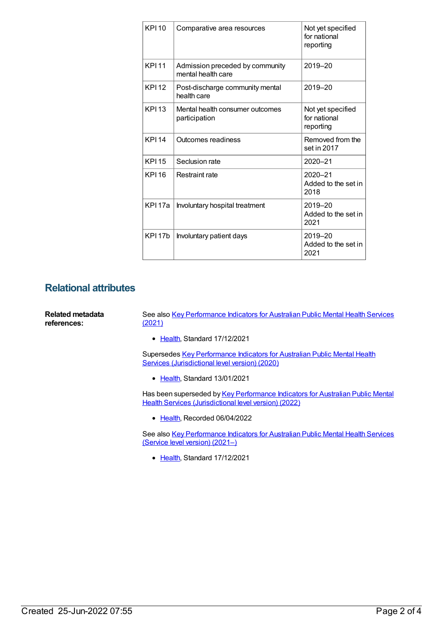| <b>KPI10</b>       | Comparative area resources                            | Not yet specified<br>for national<br>reporting |
|--------------------|-------------------------------------------------------|------------------------------------------------|
| <b>KPI11</b>       | Admission preceded by community<br>mental health care | 2019-20                                        |
| <b>KPI12</b>       | Post-discharge community mental<br>health care        | 2019-20                                        |
| <b>KPI13</b>       | Mental health consumer outcomes<br>participation      | Not yet specified<br>for national<br>reporting |
| <b>KPI14</b>       | Outcomes readiness                                    | Removed from the<br>set in 2017                |
| <b>KPI15</b>       | Seclusion rate                                        | 2020-21                                        |
| <b>KPI16</b>       | Restraint rate                                        | $2020 - 21$<br>Added to the set in<br>2018     |
| KPI 17a            | Involuntary hospital treatment                        | 2019-20<br>Added to the set in<br>2021         |
| KPI <sub>17b</sub> | Involuntary patient days                              | 2019-20<br>Added to the set in<br>2021         |

## **Relational attributes**

| Related metadata<br>references: | See also Key Performance Indicators for Australian Public Mental Health Services<br><u>(2021)</u>                                       |  |
|---------------------------------|-----------------------------------------------------------------------------------------------------------------------------------------|--|
|                                 | • Health, Standard 17/12/2021                                                                                                           |  |
|                                 | Supersedes Key Performance Indicators for Australian Public Mental Health<br>Services (Jurisdictional level version) (2020)             |  |
|                                 | • Health, Standard 13/01/2021                                                                                                           |  |
|                                 | Has been superseded by Key Performance Indicators for Australian Public Mental<br>Health Services (Jurisdictional level version) (2022) |  |
|                                 | • Health. Recorded 06/04/2022                                                                                                           |  |
|                                 | See also Key Performance Indicators for Australian Public Mental Health Services                                                        |  |

See also Key [Performance](https://meteor.aihw.gov.au/content/742456) Indicators for Australian Public Mental Health Services (Service level version) (2021–)

• [Health](https://meteor.aihw.gov.au/RegistrationAuthority/12), Standard 17/12/2021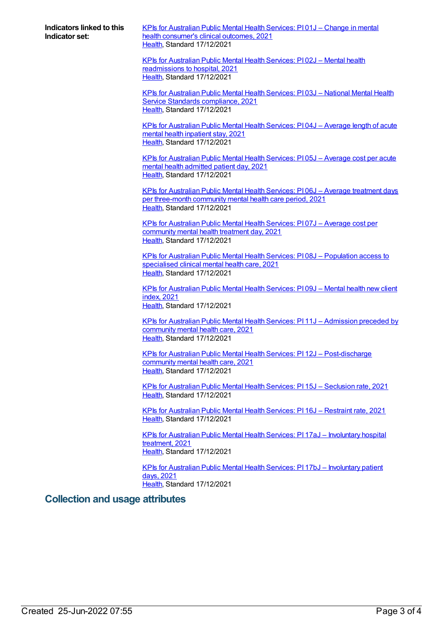**Indicators linked to this Indicator set:**

KPIs for [Australian](https://meteor.aihw.gov.au/content/739867) Public Mental Health Services: PI 01J – Change in mental health consumer's clinical outcomes, 2021 [Health](https://meteor.aihw.gov.au/RegistrationAuthority/12), Standard 17/12/2021

KPIs for Australian Public Mental Health Services: PI 02J – Mental health [readmissions](https://meteor.aihw.gov.au/content/739871) to hospital, 2021 [Health](https://meteor.aihw.gov.au/RegistrationAuthority/12), Standard 17/12/2021

KPIs for [Australian](https://meteor.aihw.gov.au/content/739876) Public Mental Health Services: PI 03J – National Mental Health Service Standards compliance, 2021 [Health](https://meteor.aihw.gov.au/RegistrationAuthority/12), Standard 17/12/2021

KPIs for [Australian](https://meteor.aihw.gov.au/content/739878) Public Mental Health Services: PI 04J – Average length of acute mental health inpatient stay, 2021 [Health](https://meteor.aihw.gov.au/RegistrationAuthority/12), Standard 17/12/2021

KPIs for [Australian](https://meteor.aihw.gov.au/content/739880) Public Mental Health Services: PI 05J – Average cost per acute mental health admitted patient day, 2021 [Health](https://meteor.aihw.gov.au/RegistrationAuthority/12), Standard 17/12/2021

KPIs for Australian Public Mental Health Services: PI 06J – Average treatment days per [three-month](https://meteor.aihw.gov.au/content/739882) community mental health care period, 2021 [Health](https://meteor.aihw.gov.au/RegistrationAuthority/12), Standard 17/12/2021

KPIs for [Australian](https://meteor.aihw.gov.au/content/739885) Public Mental Health Services: PI 07J – Average cost per community mental health treatment day, 2021 [Health](https://meteor.aihw.gov.au/RegistrationAuthority/12), Standard 17/12/2021

KPIs for Australian Public Mental Health Services: PI 08J – [Population](https://meteor.aihw.gov.au/content/739887) access to specialised clinical mental health care, 2021 [Health](https://meteor.aihw.gov.au/RegistrationAuthority/12), Standard 17/12/2021

KPIs for [Australian](https://meteor.aihw.gov.au/content/739889) Public Mental Health Services: PI 09J – Mental health new client index, 2021 [Health](https://meteor.aihw.gov.au/RegistrationAuthority/12), Standard 17/12/2021

KPIs for Australian Public Mental Health Services: PI 11J – [Admission](https://meteor.aihw.gov.au/content/739893) preceded by community mental health care, 2021 [Health](https://meteor.aihw.gov.au/RegistrationAuthority/12), Standard 17/12/2021

KPIs for Australian Public Mental Health Services: PI 12J – [Post-discharge](https://meteor.aihw.gov.au/content/739895) community mental health care, 2021 [Health](https://meteor.aihw.gov.au/RegistrationAuthority/12), Standard 17/12/2021

KPIs for [Australian](https://meteor.aihw.gov.au/content/739898) Public Mental Health Services: PI 15J – Seclusion rate, 2021 [Health](https://meteor.aihw.gov.au/RegistrationAuthority/12), Standard 17/12/2021

KPIs for [Australian](https://meteor.aihw.gov.au/content/739900) Public Mental Health Services: PI 16J – Restraint rate, 2021 [Health](https://meteor.aihw.gov.au/RegistrationAuthority/12), Standard 17/12/2021

KPIs for Australian Public Mental Health Services: PI 17aJ – [Involuntary](https://meteor.aihw.gov.au/content/739902) hospital treatment, 2021 [Health](https://meteor.aihw.gov.au/RegistrationAuthority/12), Standard 17/12/2021

KPIs for Australian Public Mental Health Services: PI 17bJ – [Involuntary](https://meteor.aihw.gov.au/content/739904) patient days, 2021 [Health](https://meteor.aihw.gov.au/RegistrationAuthority/12), Standard 17/12/2021

## **Collection and usage attributes**